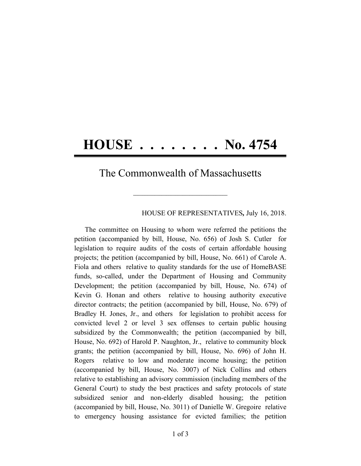## **HOUSE . . . . . . . . No. 4754**

## The Commonwealth of Massachusetts

**\_\_\_\_\_\_\_\_\_\_\_\_\_\_\_\_\_\_\_\_\_\_\_\_\_\_\_\_\_\_\_\_\_\_\_\_\_\_\_\_**

## HOUSE OF REPRESENTATIVES*,* July 16, 2018.

The committee on Housing to whom were referred the petitions the petition (accompanied by bill, House, No. 656) of Josh S. Cutler for legislation to require audits of the costs of certain affordable housing projects; the petition (accompanied by bill, House, No. 661) of Carole A. Fiola and others relative to quality standards for the use of HomeBASE funds, so-called, under the Department of Housing and Community Development; the petition (accompanied by bill, House, No. 674) of Kevin G. Honan and others relative to housing authority executive director contracts; the petition (accompanied by bill, House, No. 679) of Bradley H. Jones, Jr., and others for legislation to prohibit access for convicted level 2 or level 3 sex offenses to certain public housing subsidized by the Commonwealth; the petition (accompanied by bill, House, No. 692) of Harold P. Naughton, Jr., relative to community block grants; the petition (accompanied by bill, House, No. 696) of John H. Rogers relative to low and moderate income housing; the petition (accompanied by bill, House, No. 3007) of Nick Collins and others relative to establishing an advisory commission (including members of the General Court) to study the best practices and safety protocols of state subsidized senior and non-elderly disabled housing; the petition (accompanied by bill, House, No. 3011) of Danielle W. Gregoire relative to emergency housing assistance for evicted families; the petition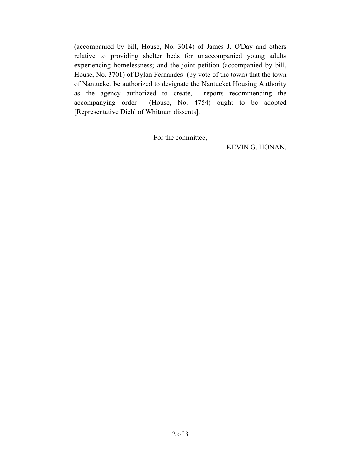(accompanied by bill, House, No. 3014) of James J. O'Day and others relative to providing shelter beds for unaccompanied young adults experiencing homelessness; and the joint petition (accompanied by bill, House, No. 3701) of Dylan Fernandes (by vote of the town) that the town of Nantucket be authorized to designate the Nantucket Housing Authority as the agency authorized to create, reports recommending the accompanying order (House, No. 4754) ought to be adopted [Representative Diehl of Whitman dissents].

For the committee,

KEVIN G. HONAN.